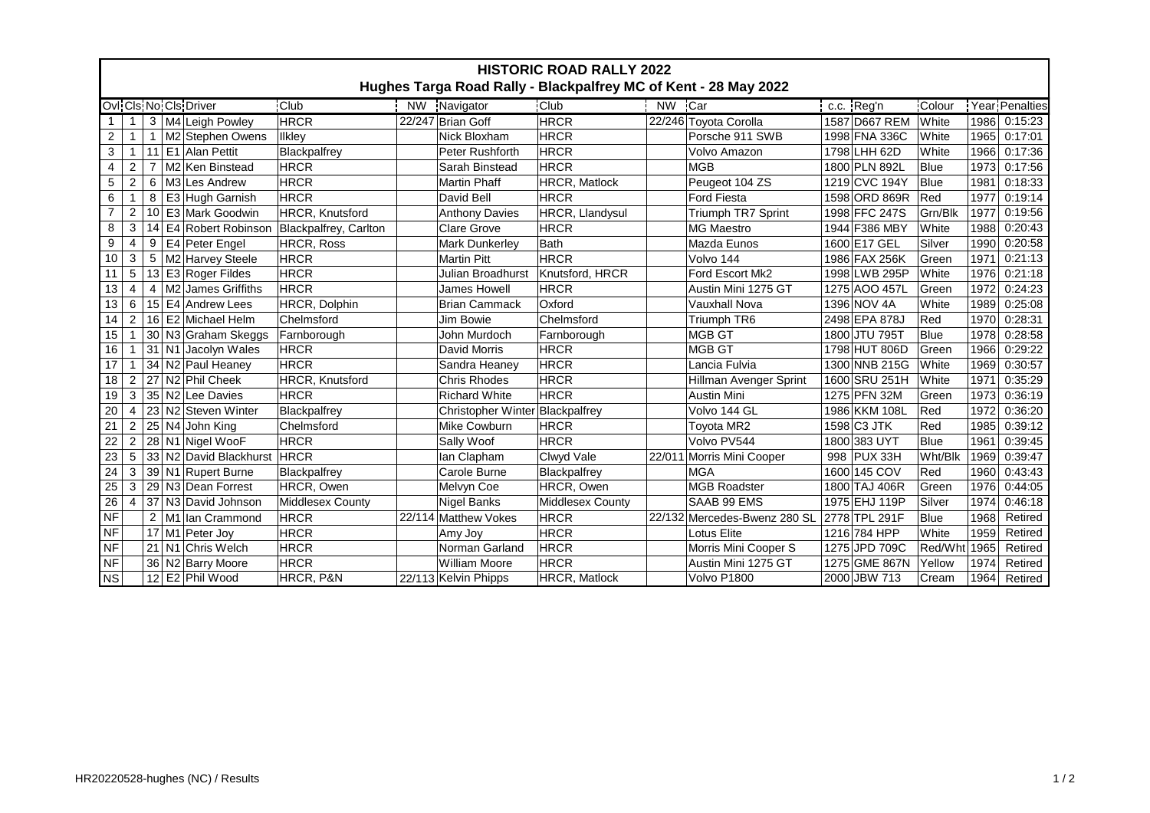| <b>HISTORIC ROAD RALLY 2022</b>                                                          |                |                |  |                                 |                         |        |                                 |                      |        |                              |               |              |      |                |
|------------------------------------------------------------------------------------------|----------------|----------------|--|---------------------------------|-------------------------|--------|---------------------------------|----------------------|--------|------------------------------|---------------|--------------|------|----------------|
| Hughes Targa Road Rally - Blackpalfrey MC of Kent - 28 May 2022<br>Ovi Cis No Cis Driver |                |                |  |                                 |                         |        |                                 |                      |        |                              |               |              |      |                |
|                                                                                          |                |                |  |                                 | <b>Club</b>             |        | NW Navigator                    | <b>Club</b>          | NW Car |                              | c.c. Reg'n    | Colour       |      | Year Penalties |
| 1                                                                                        |                |                |  | 3   M4   Leigh Powley           | <b>HRCR</b>             |        | 22/247 Brian Goff               | <b>HRCR</b>          |        | 22/246 Toyota Corolla        | 1587 D667 REM | <b>White</b> | 1986 | 0:15:23        |
| $\overline{a}$                                                                           |                |                |  | M2 Stephen Owens                | Ilkley                  |        | Nick Bloxham                    | <b>HRCR</b>          |        | Porsche 911 SWB              | 1998 FNA 336C | White        | 1965 | 0:17:01        |
| 3                                                                                        |                | 11             |  | E1 Alan Pettit                  | Blackpalfrey            |        | Peter Rushforth                 | <b>HRCR</b>          |        | Volvo Amazon                 | 1798 LHH 62D  | <b>White</b> | 1966 | 0:17:36        |
| 4                                                                                        | $\overline{2}$ |                |  | M <sub>2</sub> Ken Binstead     | <b>HRCR</b>             |        | Sarah Binstead                  | <b>HRCR</b>          |        | <b>MGB</b>                   | 1800 PLN 892L | Blue         | 1973 | 0:17:56        |
| 5                                                                                        | $\overline{2}$ | 6              |  | M3 Les Andrew                   | <b>HRCR</b>             |        | <b>Martin Phaff</b>             | HRCR, Matlock        |        | Peugeot 104 ZS               | 1219 CVC 194Y | Blue         | 1981 | 0:18:33        |
| 6                                                                                        | 1              | 8              |  | E3 Hugh Garnish                 | <b>HRCR</b>             |        | David Bell                      | <b>HRCR</b>          |        | <b>Ford Fiesta</b>           | 1598 ORD 869R | Red          | 1977 | 0:19:14        |
| $\overline{7}$                                                                           | $\overline{2}$ | 10             |  | E3 Mark Goodwin                 | HRCR, Knutsford         |        | <b>Anthony Davies</b>           | HRCR, Llandysul      |        | <b>Triumph TR7 Sprint</b>    | 1998 FFC 247S | Grn/Blk      | 1977 | 0:19:56        |
| 8                                                                                        | 3              | 14             |  | E4 Robert Robinson              | Blackpalfrey, Carlton   |        | <b>Clare Grove</b>              | <b>HRCR</b>          |        | <b>MG Maestro</b>            | 1944 F386 MBY | White        | 1988 | 0:20:43        |
| 9                                                                                        | 4              | 9              |  | E4 Peter Engel                  | HRCR, Ross              |        | Mark Dunkerley                  | Bath                 |        | Mazda Eunos                  | 1600 E17 GEL  | Silver       | 1990 | 0:20:58        |
| 10                                                                                       | 3              | 5              |  | M2 Harvey Steele                | <b>HRCR</b>             |        | Martin Pitt                     | <b>HRCR</b>          |        | Volvo 144                    | 1986 FAX 256K | Green        | 1971 | 0:21:13        |
| 11                                                                                       | 5              |                |  | 13 E3 Roger Fildes              | <b>HRCR</b>             |        | Julian Broadhurst               | Knutsford, HRCR      |        | Ford Escort Mk2              | 1998 LWB 295P | White        | 1976 | 0:21:18        |
| 13                                                                                       | $\overline{4}$ | $\overline{4}$ |  | M <sub>2</sub> James Griffiths  | <b>HRCR</b>             |        | James Howell                    | <b>HRCR</b>          |        | Austin Mini 1275 GT          | 1275 AOO 457L | Green        | 1972 | 0:24:23        |
| 13                                                                                       | 6              |                |  | 15 E4 Andrew Lees               | HRCR, Dolphin           |        | <b>Brian Cammack</b>            | Oxford               |        | <b>Vauxhall Nova</b>         | 1396 NOV 4A   | White        | 1989 | 0:25:08        |
| 14                                                                                       | $\overline{2}$ | 16             |  | E2 Michael Helm                 | Chelmsford              |        | Jim Bowie                       | Chelmsford           |        | Triumph TR6                  | 2498 EPA 878J | Red          | 1970 | 0:28:31        |
| 15                                                                                       | 1              |                |  | 30 N3 Graham Skeggs             | Farnborough             |        | John Murdoch                    | Farnborough          |        | <b>MGB GT</b>                | 1800 JTU 795T | Blue         | 1978 | 0:28:58        |
| 16                                                                                       |                |                |  | 31 N1 Jacolyn Wales             | <b>HRCR</b>             |        | David Morris                    | <b>HRCR</b>          |        | <b>MGB GT</b>                | 1798 HUT 806D | Green        | 1966 | 0:29:22        |
| 17                                                                                       |                |                |  | 34 N2 Paul Heaney               | <b>HRCR</b>             |        | Sandra Heaney                   | <b>HRCR</b>          |        | Lancia Fulvia                | 1300 NNB 215G | White        | 1969 | 0:30:57        |
| 18                                                                                       | $\overline{c}$ |                |  | 27 N2 Phil Cheek                | HRCR, Knutsford         |        | <b>Chris Rhodes</b>             | <b>HRCR</b>          |        | Hillman Avenger Sprint       | 1600 SRU 251H | White        | 1971 | 0:35:29        |
| 19                                                                                       | 3              |                |  | 35 N2 Lee Davies                | <b>HRCR</b>             |        | <b>Richard White</b>            | <b>HRCR</b>          |        | <b>Austin Mini</b>           | 1275 PFN 32M  | lGreen       | 1973 | 0:36:19        |
| 20                                                                                       | 4              | 23             |  | N2 Steven Winter                | Blackpalfrey            |        | Christopher Winter Blackpalfrey |                      |        | Volvo 144 GL                 | 1986 KKM 108L | Red          | 1972 | 0:36:20        |
| 21                                                                                       | $\overline{2}$ | 25             |  | N4 John King                    | Chelmsford              |        | Mike Cowburn                    | <b>HRCR</b>          |        | Toyota MR2                   | 1598 C3 JTK   | Red          | 1985 | 0:39:12        |
| 22                                                                                       | $\overline{2}$ | 28             |  | N1 Nigel WooF                   | <b>HRCR</b>             |        | Sally Woof                      | <b>HRCR</b>          |        | Volvo PV544                  | 1800 383 UYT  | Blue         | 1961 | 0:39:45        |
| $\overline{23}$                                                                          | 5              | 33             |  | N <sub>2</sub> David Blackhurst | <b>HRCR</b>             |        | lan Clapham                     | Clwyd Vale           | 22/011 | Morris Mini Cooper           | 998 PUX 33H   | Wht/Blk      | 1969 | 0:39:47        |
| 24                                                                                       | 3              |                |  | 39 N1 Rupert Burne              | Blackpalfrey            |        | Carole Burne                    | Blackpalfrey         |        | <b>MGA</b>                   | 1600 145 COV  | Red          | 1960 | 0:43:43        |
| 25                                                                                       | 3              |                |  | 29 N3 Dean Forrest              | HRCR, Owen              |        | Melvyn Coe                      | HRCR, Owen           |        | <b>MGB Roadster</b>          | 1800 TAJ 406R | <b>Green</b> | 1976 | 0:44:05        |
| 26                                                                                       | $\overline{4}$ |                |  | 37 N3 David Johnson             | <b>Middlesex County</b> |        | <b>Nigel Banks</b>              | Middlesex County     |        | SAAB 99 EMS                  | 1975 EHJ 119P | Silver       | 1974 | 0:46:18        |
| <b>NF</b>                                                                                |                | $\overline{2}$ |  | M1 lan Crammond                 | <b>HRCR</b>             | 22/114 | Matthew Vokes                   | <b>HRCR</b>          |        | 22/132 Mercedes-Bwenz 280 SL | 2778 TPL 291F | Blue         | 1968 | Retired        |
| <b>NF</b>                                                                                |                |                |  | 17 M1 Peter Joy                 | <b>HRCR</b>             |        | Amy Joy                         | <b>HRCR</b>          |        | Lotus Elite                  | 1216 784 HPP  | White        | 1959 | Retired        |
| <b>NF</b>                                                                                |                |                |  | 21 N1 Chris Welch               | <b>HRCR</b>             |        | Norman Garland                  | <b>HRCR</b>          |        | Morris Mini Cooper S         | 1275 JPD 709C | Red/Wht      | 1965 | Retired        |
| $\sf{NF}$                                                                                |                | 36             |  | N2 Barry Moore                  | <b>HRCR</b>             |        | <b>William Moore</b>            | <b>HRCR</b>          |        | Austin Mini 1275 GT          | 1275 GME 867N | Yellow       | 1974 | Retired        |
| <b>NS</b>                                                                                |                |                |  | 12 E2 Phil Wood                 | HRCR, P&N               |        | 22/113 Kelvin Phipps            | <b>HRCR, Matlock</b> |        | Volvo P1800                  | 2000 JBW 713  | Cream        | 1964 | Retired        |